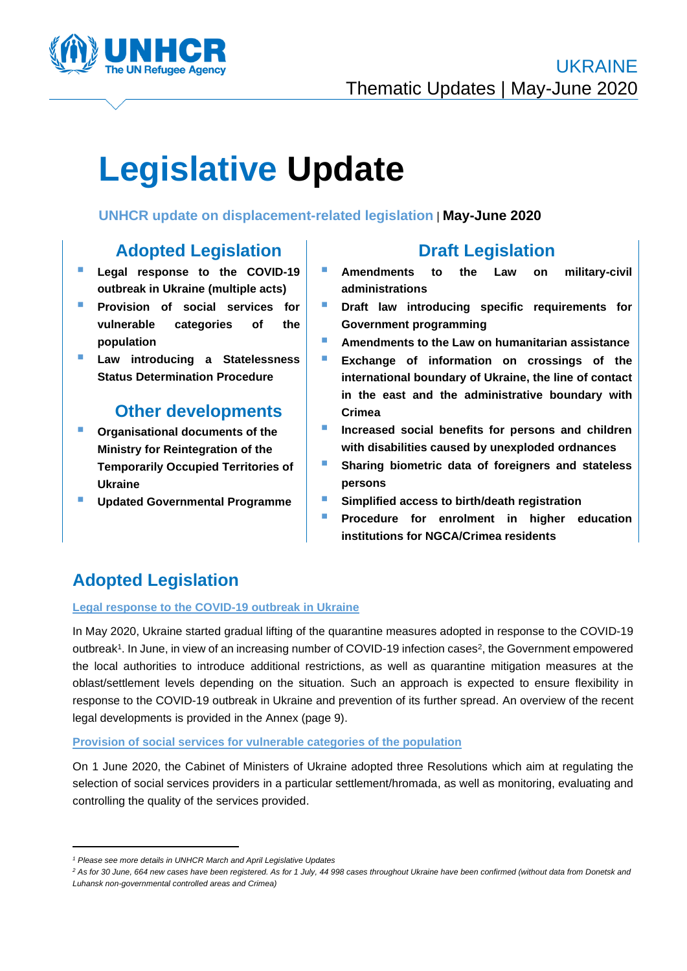

# **Legislative Update**

### **UNHCR update on displacement-related legislation** | **May-June 2020**

# **Adopted Legislation**

- **Legal response to the COVID-19 outbreak in Ukraine (multiple acts)**
- Provision of social services for **vulnerable categories of the population**
- Law introducing a Statelessness **Status Determination Procedure**

## **Other developments**

- **Organisational documents of the Ministry for Reintegration of the Temporarily Occupied Territories of Ukraine**
- **Updated Governmental Programme**

# **Draft Legislation**

- **Amendments to the Law on military-civil administrations**
- **Draft law introducing specific requirements for Government programming**
- **Amendments to the Law on humanitarian assistance**
- **Exchange of information on crossings of the international boundary of Ukraine, the line of contact in the east and the administrative boundary with Crimea**
- **E** Increased social benefits for persons and children **with disabilities caused by unexploded ordnances**
- **E** Sharing biometric data of foreigners and stateless **persons**
- Simplified access to birth/death registration
- **Procedure for enrolment in higher education institutions for NGCA/Crimea residents**

# **Adopted Legislation**

#### **Legal response to the COVID-19 outbreak in Ukraine**

In May 2020, Ukraine started gradual lifting of the quarantine measures adopted in response to the COVID-19 outbreak<sup>1</sup>. In June, in view of an increasing number of COVID-19 infection cases<sup>2</sup>, the Government empowered the local authorities to introduce additional restrictions, as well as quarantine mitigation measures at the oblast/settlement levels depending on the situation. Such an approach is expected to ensure flexibility in response to the COVID-19 outbreak in Ukraine and prevention of its further spread. An overview of the recent legal developments is provided in the Annex (page 9).

#### **Provision of social services for vulnerable categories of the population**

On 1 June 2020, the Cabinet of Ministers of Ukraine adopted three Resolutions which aim at regulating the selection of social services providers in a particular settlement/hromada, as well as monitoring, evaluating and controlling the quality of the services provided.

*<sup>1</sup> Please see more details in UNHCR March and April Legislative Updates*

<sup>&</sup>lt;sup>2</sup> As for 30 June, 664 new cases have been registered. As for 1 July, 44 998 cases throughout Ukraine have been confirmed (without data from Donetsk and *Luhansk non-governmental controlled areas and Crimea)*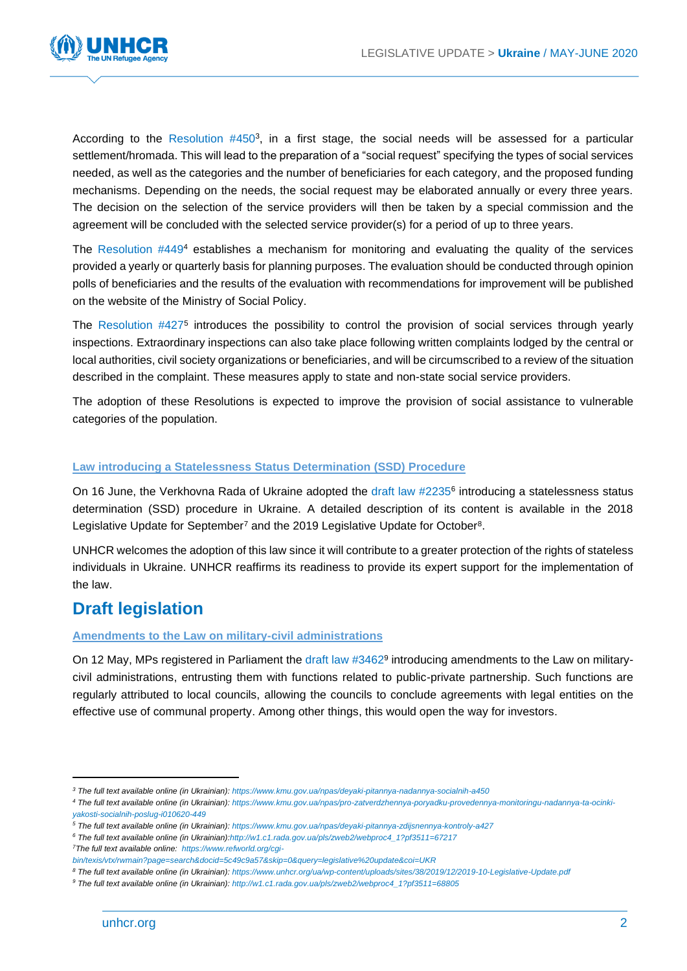

According to the Resolution #450<sup>3</sup>, in a first stage, the social needs will be assessed for a particular settlement/hromada. This will lead to the preparation of a "social request" specifying the types of social services needed, as well as the categories and the number of beneficiaries for each category, and the proposed funding mechanisms. Depending on the needs, the social request may be elaborated annually or every three years. The decision on the selection of the service providers will then be taken by a special commission and the agreement will be concluded with the selected service provider(s) for a period of up to three years.

The Resolution  $#4494$  establishes a mechanism for monitoring and evaluating the quality of the services provided a yearly or quarterly basis for planning purposes. The evaluation should be conducted through opinion polls of beneficiaries and the results of the evaluation with recommendations for improvement will be published on the website of the Ministry of Social Policy.

The Resolution #427<sup>5</sup> introduces the possibility to control the provision of social services through yearly inspections. Extraordinary inspections can also take place following written complaints lodged by the central or local authorities, civil society organizations or beneficiaries, and will be circumscribed to a review of the situation described in the complaint. These measures apply to state and non-state social service providers.

The adoption of these Resolutions is expected to improve the provision of social assistance to vulnerable categories of the population.

#### **Law introducing a Statelessness Status Determination (SSD) Procedure**

On 16 June, the Verkhovna Rada of Ukraine adopted the draft law #2235<sup>6</sup> introducing a statelessness status determination (SSD) procedure in Ukraine. A detailed description of its content is available in the 2018 Legislative Update for September<sup>7</sup> and the 2019 Legislative Update for October<sup>8</sup>.

UNHCR welcomes the adoption of this law since it will contribute to a greater protection of the rights of stateless individuals in Ukraine. UNHCR reaffirms its readiness to provide its expert support for the implementation of the law.

## **Draft legislation**

#### **Amendments to the Law on military-civil administrations**

On 12 May, MPs registered in Parliament the draft law #3462<sup>9</sup> introducing amendments to the Law on militarycivil administrations, entrusting them with functions related to public-private partnership. Such functions are regularly attributed to local councils, allowing the councils to conclude agreements with legal entities on the effective use of communal property. Among other things, this would open the way for investors.

*<sup>3</sup> The full text available online (in Ukrainian): <https://www.kmu.gov.ua/npas/deyaki-pitannya-nadannya-socialnih-a450>*

*<sup>4</sup> The full text available online (in Ukrainian): [https://www.kmu.gov.ua/npas/pro-zatverdzhennya-poryadku-provedennya-monitoringu-nadannya-ta-ocinki](https://www.kmu.gov.ua/npas/pro-zatverdzhennya-poryadku-provedennya-monitoringu-nadannya-ta-ocinki-yakosti-socialnih-poslug-i010620-449)[yakosti-socialnih-poslug-i010620-449](https://www.kmu.gov.ua/npas/pro-zatverdzhennya-poryadku-provedennya-monitoringu-nadannya-ta-ocinki-yakosti-socialnih-poslug-i010620-449)*

*<sup>5</sup> The full text available online (in Ukrainian)[: https://www.kmu.gov.ua/npas/deyaki-pitannya-zdijsnennya-kontroly-a427](https://www.kmu.gov.ua/npas/deyaki-pitannya-zdijsnennya-kontroly-a427)*

*<sup>6</sup> The full text available online (in Ukrainian[\):http://w1.c1.rada.gov.ua/pls/zweb2/webproc4\\_1?pf3511=67217](http://w1.c1.rada.gov.ua/pls/zweb2/webproc4_1?pf3511=67217)*

*<sup>7</sup>The full text available online: [https://www.refworld.org/cgi-](https://www.refworld.org/cgi-bin/texis/vtx/rwmain?page=search&docid=5c49c9a57&skip=0&query=legislative%20update&coi=UKR)*

*[bin/texis/vtx/rwmain?page=search&docid=5c49c9a57&skip=0&query=legislative%20update&coi=UKR](https://www.refworld.org/cgi-bin/texis/vtx/rwmain?page=search&docid=5c49c9a57&skip=0&query=legislative%20update&coi=UKR)*

*<sup>8</sup> The full text available online (in Ukrainian): <https://www.unhcr.org/ua/wp-content/uploads/sites/38/2019/12/2019-10-Legislative-Update.pdf>*

*<sup>9</sup> The full text available online (in Ukrainian)[: http://w1.c1.rada.gov.ua/pls/zweb2/webproc4\\_1?pf3511=68805](http://w1.c1.rada.gov.ua/pls/zweb2/webproc4_1?pf3511=68805)*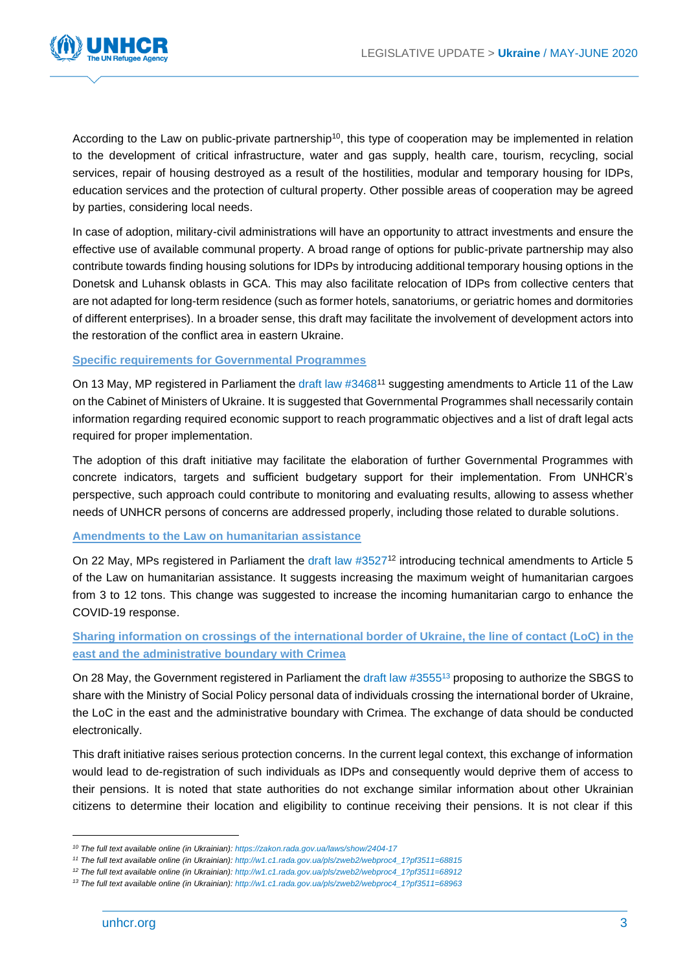

According to the Law on public-private partnership<sup>10</sup>, this type of cooperation may be implemented in relation to the development of critical infrastructure, water and gas supply, health care, tourism, recycling, social services, repair of housing destroyed as a result of the hostilities, modular and temporary housing for IDPs, education services and the protection of cultural property. Other possible areas of cooperation may be agreed by parties, considering local needs.

In case of adoption, military-civil administrations will have an opportunity to attract investments and ensure the effective use of available communal property. A broad range of options for public-private partnership may also contribute towards finding housing solutions for IDPs by introducing additional temporary housing options in the Donetsk and Luhansk oblasts in GCA. This may also facilitate relocation of IDPs from collective centers that are not adapted for long-term residence (such as former hotels, sanatoriums, or geriatric homes and dormitories of different enterprises). In a broader sense, this draft may facilitate the involvement of development actors into the restoration of the conflict area in eastern Ukraine.

#### **Specific requirements for Governmental Programmes**

On 13 May, MP registered in Parliament the draft law #3468<sup>11</sup> suggesting amendments to Article 11 of the Law on the Cabinet of Ministers of Ukraine. It is suggested that Governmental Programmes shall necessarily contain information regarding required economic support to reach programmatic objectives and a list of draft legal acts required for proper implementation.

The adoption of this draft initiative may facilitate the elaboration of further Governmental Programmes with concrete indicators, targets and sufficient budgetary support for their implementation. From UNHCR's perspective, such approach could contribute to monitoring and evaluating results, allowing to assess whether needs of UNHCR persons of concerns are addressed properly, including those related to durable solutions.

#### **Amendments to the Law on humanitarian assistance**

On 22 May, MPs registered in Parliament the draft law #3527<sup>12</sup> introducing technical amendments to Article 5 of the Law on humanitarian assistance. It suggests increasing the maximum weight of humanitarian cargoes from 3 to 12 tons. This change was suggested to increase the incoming humanitarian cargo to enhance the COVID-19 response.

#### **Sharing information on crossings of the international border of Ukraine, the line of contact (LoC) in the east and the administrative boundary with Crimea**

On 28 May, the Government registered in Parliament the draft law #3555<sup>13</sup> proposing to authorize the SBGS to share with the Ministry of Social Policy personal data of individuals crossing the international border of Ukraine, the LoC in the east and the administrative boundary with Crimea. The exchange of data should be conducted electronically.

This draft initiative raises serious protection concerns. In the current legal context, this exchange of information would lead to de-registration of such individuals as IDPs and consequently would deprive them of access to their pensions. It is noted that state authorities do not exchange similar information about other Ukrainian citizens to determine their location and eligibility to continue receiving their pensions. It is not clear if this

*<sup>10</sup> The full text available online (in Ukrainian): <https://zakon.rada.gov.ua/laws/show/2404-17>*

*<sup>11</sup> The full text available online (in Ukrainian): [http://w1.c1.rada.gov.ua/pls/zweb2/webproc4\\_1?pf3511=68815](http://w1.c1.rada.gov.ua/pls/zweb2/webproc4_1?pf3511=68815)*

*<sup>12</sup> The full text available online (in Ukrainian): [http://w1.c1.rada.gov.ua/pls/zweb2/webproc4\\_1?pf3511=68912](http://w1.c1.rada.gov.ua/pls/zweb2/webproc4_1?pf3511=68912)*

*<sup>13</sup> The full text available online (in Ukrainian): [http://w1.c1.rada.gov.ua/pls/zweb2/webproc4\\_1?pf3511=68963](http://w1.c1.rada.gov.ua/pls/zweb2/webproc4_1?pf3511=68963)*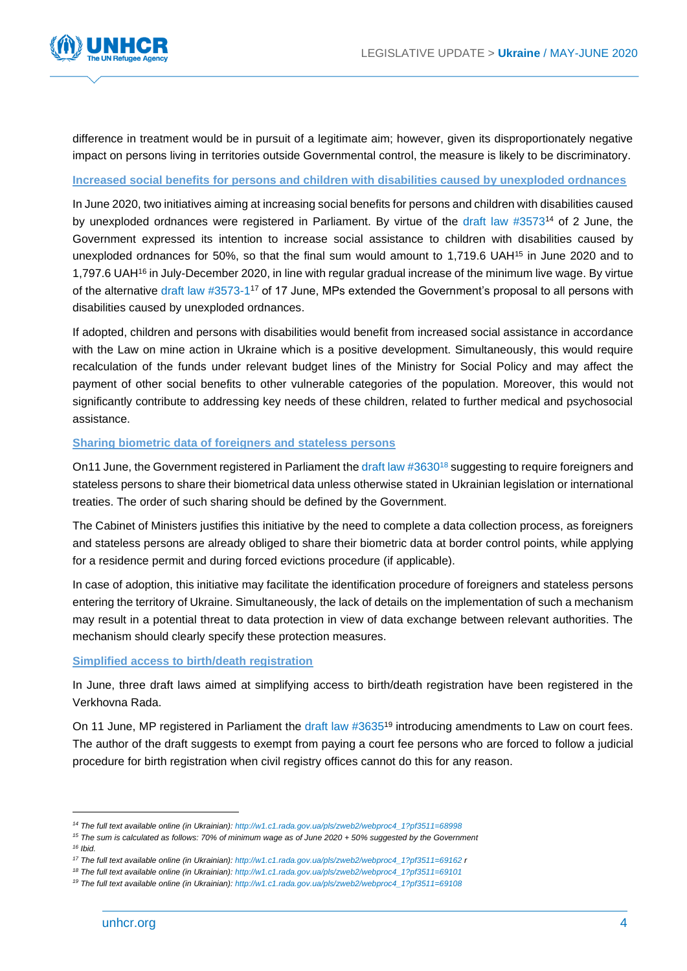

difference in treatment would be in pursuit of a legitimate aim; however, given its disproportionately negative impact on persons living in territories outside Governmental control, the measure is likely to be discriminatory.

#### **Increased social benefits for persons and children with disabilities caused by unexploded ordnances**

In June 2020, two initiatives aiming at increasing social benefits for persons and children with disabilities caused by unexploded ordnances were registered in Parliament. By virtue of the draft law #3573<sup>14</sup> of 2 June, the Government expressed its intention to increase social assistance to children with disabilities caused by unexploded ordnances for 50%, so that the final sum would amount to 1,719.6 UAH<sup>15</sup> in June 2020 and to 1,797.6 UAH<sup>16</sup> in July-December 2020, in line with regular gradual increase of the minimum live wage. By virtue of the alternative draft law #3573-1<sup>17</sup> of 17 June, MPs extended the Government's proposal to all persons with disabilities caused by unexploded ordnances.

If adopted, children and persons with disabilities would benefit from increased social assistance in accordance with the Law on mine action in Ukraine which is a positive development. Simultaneously, this would require recalculation of the funds under relevant budget lines of the Ministry for Social Policy and may affect the payment of other social benefits to other vulnerable categories of the population. Moreover, this would not significantly contribute to addressing key needs of these children, related to further medical and psychosocial assistance.

#### **Sharing biometric data of foreigners and stateless persons**

On11 June, the Government registered in Parliament the draft law #3630<sup>18</sup> suggesting to require foreigners and stateless persons to share their biometrical data unless otherwise stated in Ukrainian legislation or international treaties. The order of such sharing should be defined by the Government.

The Cabinet of Ministers justifies this initiative by the need to complete a data collection process, as foreigners and stateless persons are already obliged to share their biometric data at border control points, while applying for a residence permit and during forced evictions procedure (if applicable).

In case of adoption, this initiative may facilitate the identification procedure of foreigners and stateless persons entering the territory of Ukraine. Simultaneously, the lack of details on the implementation of such a mechanism may result in a potential threat to data protection in view of data exchange between relevant authorities. The mechanism should clearly specify these protection measures.

#### **Simplified access to birth/death registration**

In June, three draft laws aimed at simplifying access to birth/death registration have been registered in the Verkhovna Rada.

On 11 June, MP registered in Parliament the draft law #3635<sup>19</sup> introducing amendments to Law on court fees. The author of the draft suggests to exempt from paying a court fee persons who are forced to follow a judicial procedure for birth registration when civil registry offices cannot do this for any reason.

*<sup>14</sup> The full text available online (in Ukrainian): [http://w1.c1.rada.gov.ua/pls/zweb2/webproc4\\_1?pf3511=68998](http://w1.c1.rada.gov.ua/pls/zweb2/webproc4_1?pf3511=68998)*

*<sup>15</sup> The sum is calculated as follows: 70% of minimum wage as of June 2020 + 50% suggested by the Government* 

*<sup>16</sup> Ibid.* 

*<sup>17</sup> The full text available online (in Ukrainian): [http://w1.c1.rada.gov.ua/pls/zweb2/webproc4\\_1?pf3511=69162](http://w1.c1.rada.gov.ua/pls/zweb2/webproc4_1?pf3511=69162) r*

*<sup>18</sup> The full text available online (in Ukrainian): [http://w1.c1.rada.gov.ua/pls/zweb2/webproc4\\_1?pf3511=69101](http://w1.c1.rada.gov.ua/pls/zweb2/webproc4_1?pf3511=69101)*

*<sup>19</sup> The full text available online (in Ukrainian): [http://w1.c1.rada.gov.ua/pls/zweb2/webproc4\\_1?pf3511=69108](http://w1.c1.rada.gov.ua/pls/zweb2/webproc4_1?pf3511=69108)*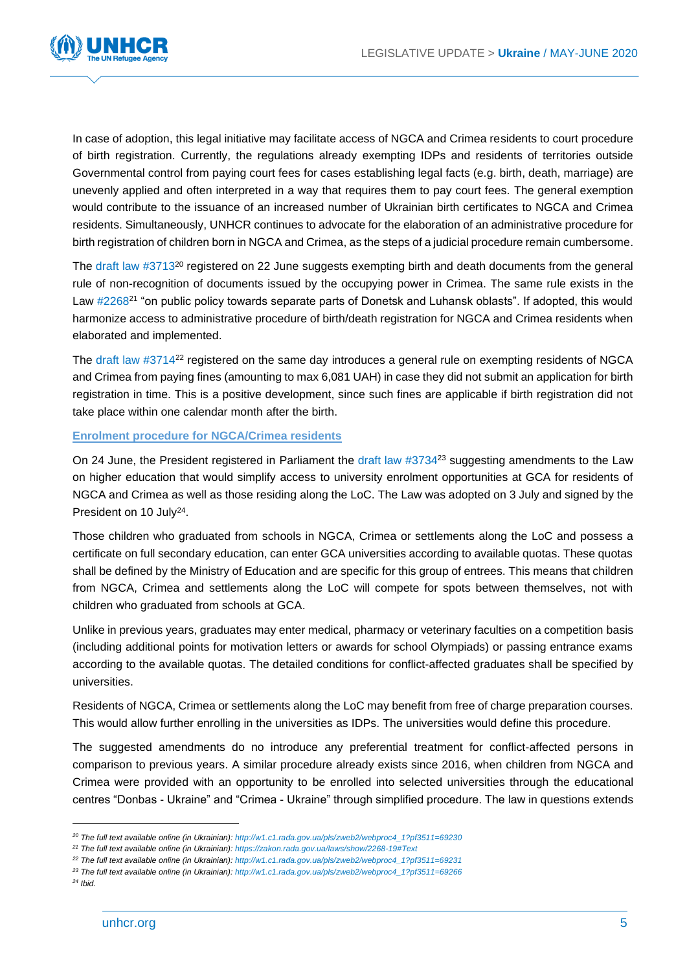

In case of adoption, this legal initiative may facilitate access of NGCA and Crimea residents to court procedure of birth registration. Currently, the regulations already exempting IDPs and residents of territories outside Governmental control from paying court fees for cases establishing legal facts (e.g. birth, death, marriage) are unevenly applied and often interpreted in a way that requires them to pay court fees. The general exemption would contribute to the issuance of an increased number of Ukrainian birth certificates to NGCA and Crimea residents. Simultaneously, UNHCR continues to advocate for the elaboration of an administrative procedure for birth registration of children born in NGCA and Crimea, as the steps of a judicial procedure remain cumbersome.

The draft law #3713<sup>20</sup> registered on 22 June suggests exempting birth and death documents from the general rule of non-recognition of documents issued by the occupying power in Crimea. The same rule exists in the Law #2268<sup>21</sup> "on public policy towards separate parts of Donetsk and Luhansk oblasts". If adopted, this would harmonize access to administrative procedure of birth/death registration for NGCA and Crimea residents when elaborated and implemented.

The draft law #3714<sup>22</sup> registered on the same day introduces a general rule on exempting residents of NGCA and Crimea from paying fines (amounting to max 6,081 UAH) in case they did not submit an application for birth registration in time. This is a positive development, since such fines are applicable if birth registration did not take place within one calendar month after the birth.

#### **Enrolment procedure for NGCA/Crimea residents**

On 24 June, the President registered in Parliament the draft law #3734<sup>23</sup> suggesting amendments to the Law on higher education that would simplify access to university enrolment opportunities at GCA for residents of NGCA and Crimea as well as those residing along the LoC. The Law was adopted on 3 July and signed by the President on 10 July<sup>24</sup>.

Those children who graduated from schools in NGCA, Crimea or settlements along the LoC and possess a certificate on full secondary education, can enter GCA universities according to available quotas. These quotas shall be defined by the Ministry of Education and are specific for this group of entrees. This means that children from NGCA, Crimea and settlements along the LoC will compete for spots between themselves, not with children who graduated from schools at GCA.

Unlike in previous years, graduates may enter medical, pharmacy or veterinary faculties on a competition basis (including additional points for motivation letters or awards for school Olympiads) or passing entrance exams according to the available quotas. The detailed conditions for conflict-affected graduates shall be specified by universities.

Residents of NGCA, Crimea or settlements along the LoC may benefit from free of charge preparation courses. This would allow further enrolling in the universities as IDPs. The universities would define this procedure.

The suggested amendments do no introduce any preferential treatment for conflict-affected persons in comparison to previous years. A similar procedure already exists since 2016, when children from NGCA and Crimea were provided with an opportunity to be enrolled into selected universities through the educational centres "Donbas - Ukraine" and "Crimea - Ukraine" through simplified procedure. The law in questions extends

*<sup>20</sup> The full text available online (in Ukrainian): [http://w1.c1.rada.gov.ua/pls/zweb2/webproc4\\_1?pf3511=69230](http://w1.c1.rada.gov.ua/pls/zweb2/webproc4_1?pf3511=69230)*

*<sup>21</sup> The full text available online (in Ukrainian): <https://zakon.rada.gov.ua/laws/show/2268-19#Text>*

*<sup>22</sup> The full text available online (in Ukrainian): [http://w1.c1.rada.gov.ua/pls/zweb2/webproc4\\_1?pf3511=69231](http://w1.c1.rada.gov.ua/pls/zweb2/webproc4_1?pf3511=69231)*

*<sup>23</sup> The full text available online (in Ukrainian): [http://w1.c1.rada.gov.ua/pls/zweb2/webproc4\\_1?pf3511=69266](http://w1.c1.rada.gov.ua/pls/zweb2/webproc4_1?pf3511=69266)*

*<sup>24</sup> Ibid.*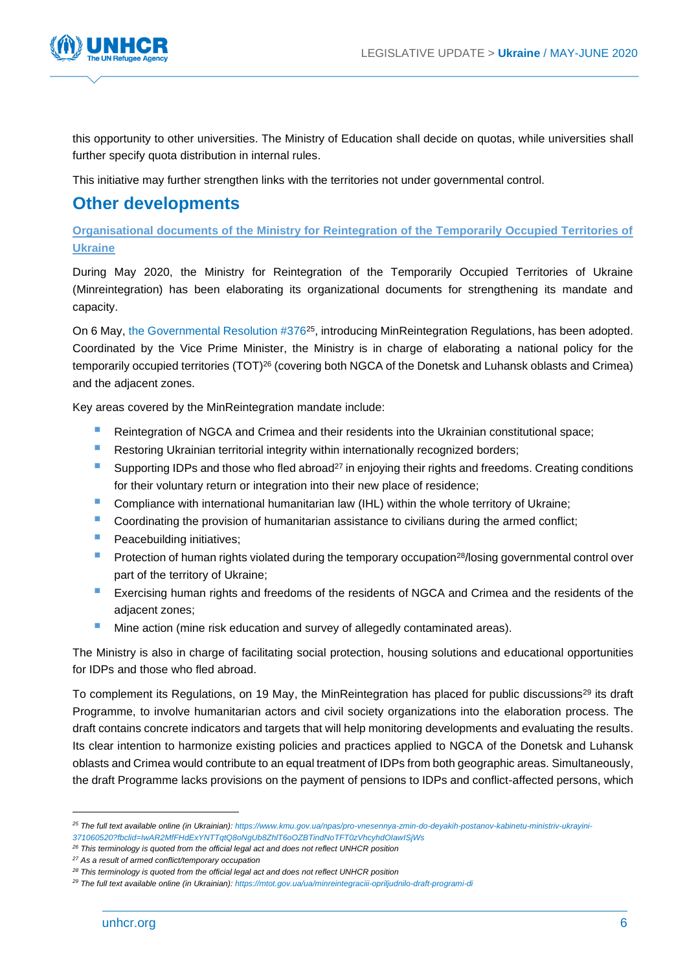

this opportunity to other universities. The Ministry of Education shall decide on quotas, while universities shall further specify quota distribution in internal rules.

This initiative may further strengthen links with the territories not under governmental control.

# **Other developments**

**Organisational documents of the Ministry for Reintegration of the Temporarily Occupied Territories of Ukraine**

During May 2020, the Ministry for Reintegration of the Temporarily Occupied Territories of Ukraine (Minreintegration) has been elaborating its organizational documents for strengthening its mandate and capacity.

On 6 May, the Governmental Resolution #376<sup>25</sup>, introducing MinReintegration Regulations, has been adopted. Coordinated by the Vice Prime Minister, the Ministry is in charge of elaborating a national policy for the temporarily occupied territories (TOT)<sup>26</sup> (covering both NGCA of the Donetsk and Luhansk oblasts and Crimea) and the adjacent zones.

Key areas covered by the MinReintegration mandate include:

- Reintegration of NGCA and Crimea and their residents into the Ukrainian constitutional space;
- Restoring Ukrainian territorial integrity within internationally recognized borders;
- Supporting IDPs and those who fled abroad<sup>27</sup> in enjoying their rights and freedoms. Creating conditions for their voluntary return or integration into their new place of residence;
- Compliance with international humanitarian law (IHL) within the whole territory of Ukraine;
- **Coordinating the provision of humanitarian assistance to civilians during the armed conflict;**
- **Peacebuilding initiatives;**
- Protection of human rights violated during the temporary occupation<sup>28</sup>/losing governmental control over part of the territory of Ukraine;
- Exercising human rights and freedoms of the residents of NGCA and Crimea and the residents of the adjacent zones;
- Mine action (mine risk education and survey of allegedly contaminated areas).

The Ministry is also in charge of facilitating social protection, housing solutions and educational opportunities for IDPs and those who fled abroad.

To complement its Regulations, on 19 May, the MinReintegration has placed for public discussions<sup>29</sup> its draft Programme, to involve humanitarian actors and civil society organizations into the elaboration process. The draft contains concrete indicators and targets that will help monitoring developments and evaluating the results. Its clear intention to harmonize existing policies and practices applied to NGCA of the Donetsk and Luhansk oblasts and Crimea would contribute to an equal treatment of IDPs from both geographic areas. Simultaneously, the draft Programme lacks provisions on the payment of pensions to IDPs and conflict-affected persons, which

*<sup>26</sup> This terminology is quoted from the official legal act and does not reflect UNHCR position*

*<sup>25</sup> The full text available online (in Ukrainian): [https://www.kmu.gov.ua/npas/pro-vnesennya-zmin-do-deyakih-postanov-kabinetu-ministriv-ukrayini-](https://www.kmu.gov.ua/npas/pro-vnesennya-zmin-do-deyakih-postanov-kabinetu-ministriv-ukrayini-371060520?fbclid=IwAR2MfFHdExYNTTqtQ8oNgUb8ZhlT6oOZBTindNoTFT0zVhcyhdOIawISjWs)[371060520?fbclid=IwAR2MfFHdExYNTTqtQ8oNgUb8ZhlT6oOZBTindNoTFT0zVhcyhdOIawISjWs](https://www.kmu.gov.ua/npas/pro-vnesennya-zmin-do-deyakih-postanov-kabinetu-ministriv-ukrayini-371060520?fbclid=IwAR2MfFHdExYNTTqtQ8oNgUb8ZhlT6oOZBTindNoTFT0zVhcyhdOIawISjWs)*

*<sup>27</sup> As a result of armed conflict/temporary occupation* 

*<sup>28</sup> This terminology is quoted from the official legal act and does not reflect UNHCR position*

*<sup>29</sup> The full text available online (in Ukrainian): <https://mtot.gov.ua/ua/minreintegraciii-opriljudnilo-draft-programi-di>*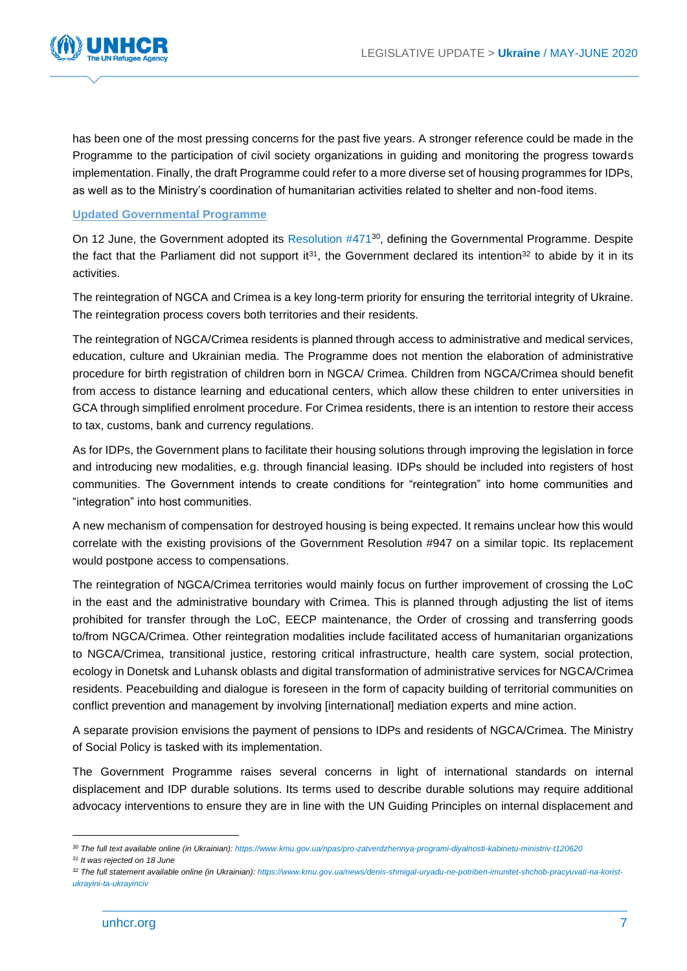

has been one of the most pressing concerns for the past five years. A stronger reference could be made in the Programme to the participation of civil society organizations in guiding and monitoring the progress towards implementation. Finally, the draft Programme could refer to a more diverse set of housing programmes for IDPs, as well as to the Ministry's coordination of humanitarian activities related to shelter and non-food items.

#### **Updated Governmental Programme**

On 12 June, the Government adopted its Resolution #471<sup>30</sup>, defining the Governmental Programme. Despite the fact that the Parliament did not support it<sup>31</sup>, the Government declared its intention<sup>32</sup> to abide by it in its activities.

The reintegration of NGCA and Crimea is a key long-term priority for ensuring the territorial integrity of Ukraine. The reintegration process covers both territories and their residents.

The reintegration of NGCA/Crimea residents is planned through access to administrative and medical services, education, culture and Ukrainian media. The Programme does not mention the elaboration of administrative procedure for birth registration of children born in NGCA/ Crimea. Children from NGCA/Crimea should benefit from access to distance learning and educational centers, which allow these children to enter universities in GCA through simplified enrolment procedure. For Crimea residents, there is an intention to restore their access to tax, customs, bank and currency regulations.

As for IDPs, the Government plans to facilitate their housing solutions through improving the legislation in force and introducing new modalities, e.g. through financial leasing. IDPs should be included into registers of host communities. The Government intends to create conditions for "reintegration" into home communities and "integration" into host communities.

A new mechanism of compensation for destroyed housing is being expected. It remains unclear how this would correlate with the existing provisions of the Government Resolution #947 on a similar topic. Its replacement would postpone access to compensations.

The reintegration of NGCA/Crimea territories would mainly focus on further improvement of crossing the LoC in the east and the administrative boundary with Crimea. This is planned through adjusting the list of items prohibited for transfer through the LoC, EECP maintenance, the Order of crossing and transferring goods to/from NGCA/Crimea. Other reintegration modalities include facilitated access of humanitarian organizations to NGCA/Crimea, transitional justice, restoring critical infrastructure, health care system, social protection, ecology in Donetsk and Luhansk oblasts and digital transformation of administrative services for NGCA/Crimea residents. Peacebuilding and dialogue is foreseen in the form of capacity building of territorial communities on conflict prevention and management by involving [international] mediation experts and mine action.

A separate provision envisions the payment of pensions to IDPs and residents of NGCA/Crimea. The Ministry of Social Policy is tasked with its implementation.

The Government Programme raises several concerns in light of international standards on internal displacement and IDP durable solutions. Its terms used to describe durable solutions may require additional advocacy interventions to ensure they are in line with the UN Guiding Principles on internal displacement and

*<sup>30</sup> The full text available online (in Ukrainian): <https://www.kmu.gov.ua/npas/pro-zatverdzhennya-programi-diyalnosti-kabinetu-ministriv-t120620>*

*<sup>31</sup> It was rejected on 18 June*

*<sup>32</sup> The full statement available online (in Ukrainian): [https://www.kmu.gov.ua/news/denis-shmigal-uryadu-ne-potriben-imunitet-shchob-pracyuvati-na-korist](https://www.kmu.gov.ua/news/denis-shmigal-uryadu-ne-potriben-imunitet-shchob-pracyuvati-na-korist-ukrayini-ta-ukrayinciv)[ukrayini-ta-ukrayinciv](https://www.kmu.gov.ua/news/denis-shmigal-uryadu-ne-potriben-imunitet-shchob-pracyuvati-na-korist-ukrayini-ta-ukrayinciv)*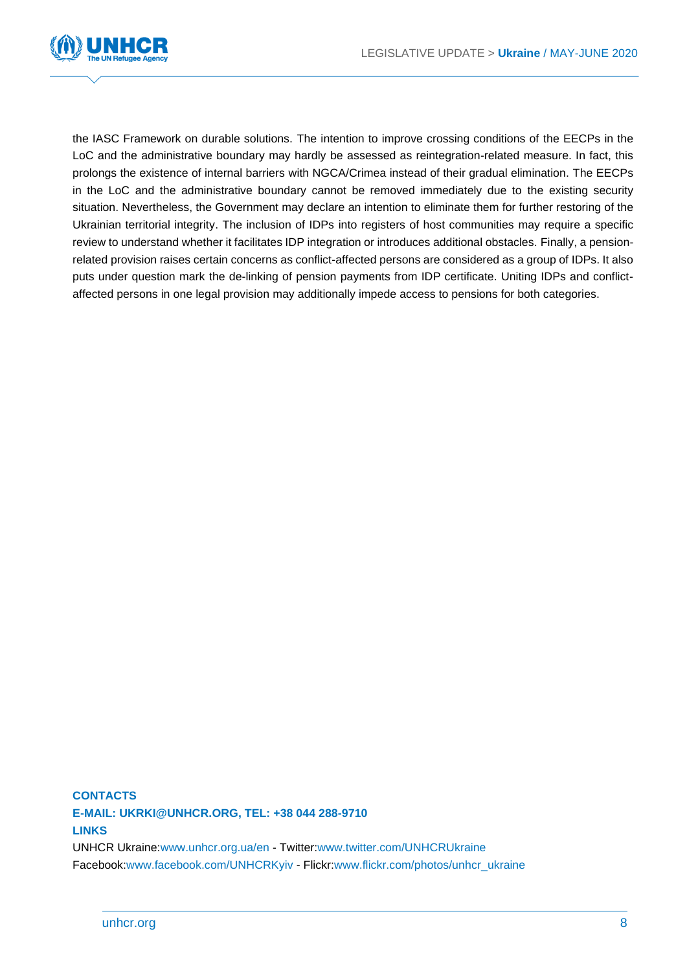

the IASC Framework on durable solutions. The intention to improve crossing conditions of the EECPs in the LoC and the administrative boundary may hardly be assessed as reintegration-related measure. In fact, this prolongs the existence of internal barriers with NGCA/Crimea instead of their gradual elimination. The EECPs in the LoC and the administrative boundary cannot be removed immediately due to the existing security situation. Nevertheless, the Government may declare an intention to eliminate them for further restoring of the Ukrainian territorial integrity. The inclusion of IDPs into registers of host communities may require a specific review to understand whether it facilitates IDP integration or introduces additional obstacles. Finally, a pensionrelated provision raises certain concerns as conflict-affected persons are considered as a group of IDPs. It also puts under question mark the de-linking of pension payments from IDP certificate. Uniting IDPs and conflictaffected persons in one legal provision may additionally impede access to pensions for both categories.

## **CONTACTS E-MAIL: UKRKI@UNHCR.ORG, TEL: +38 044 288-9710 LINKS**

UNHCR Ukraine[:www.unhcr.org.ua/en](http://www.unhcr.org.ua/en) - Twitter[:www.twitter.com/UNHCRUkraine](http://www.twitter.com/UNHCRUkraine) Facebook[:www.facebook.com/UNHCRKyiv](http://www.facebook.com/UNHCRKyiv) - Flickr[:www.flickr.com/photos/unhcr\\_ukraine](http://www.flickr.com/photos/unhcr_ukraine)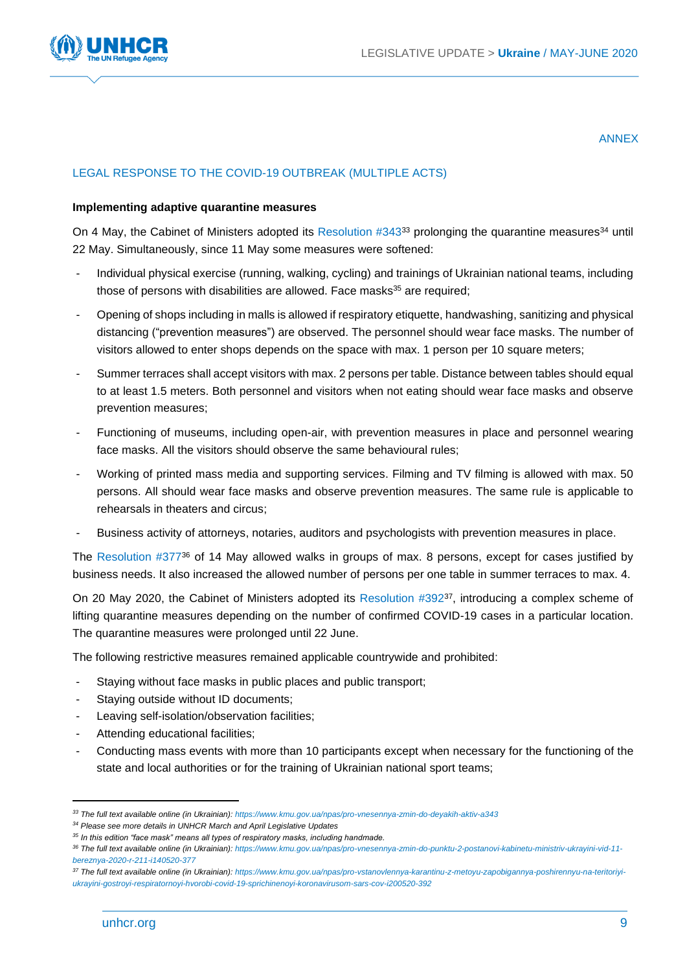

#### ANNEX

#### LEGAL RESPONSE TO THE COVID-19 OUTBREAK (MULTIPLE ACTS)

#### **Implementing adaptive quarantine measures**

On 4 May, the Cabinet of Ministers adopted its Resolution #343<sup>33</sup> prolonging the quarantine measures<sup>34</sup> until 22 May. Simultaneously, since 11 May some measures were softened:

- Individual physical exercise (running, walking, cycling) and trainings of Ukrainian national teams, including those of persons with disabilities are allowed. Face masks<sup>35</sup> are required;
- Opening of shops including in malls is allowed if respiratory etiquette, handwashing, sanitizing and physical distancing ("prevention measures") are observed. The personnel should wear face masks. The number of visitors allowed to enter shops depends on the space with max. 1 person per 10 square meters;
- Summer terraces shall accept visitors with max. 2 persons per table. Distance between tables should equal to at least 1.5 meters. Both personnel and visitors when not eating should wear face masks and observe prevention measures;
- Functioning of museums, including open-air, with prevention measures in place and personnel wearing face masks. All the visitors should observe the same behavioural rules;
- Working of printed mass media and supporting services. Filming and TV filming is allowed with max. 50 persons. All should wear face masks and observe prevention measures. The same rule is applicable to rehearsals in theaters and circus;
- Business activity of attorneys, notaries, auditors and psychologists with prevention measures in place.

The Resolution #377<sup>36</sup> of 14 May allowed walks in groups of max. 8 persons, except for cases justified by business needs. It also increased the allowed number of persons per one table in summer terraces to max. 4.

On 20 May 2020, the Cabinet of Ministers adopted its Resolution #392<sup>37</sup>, introducing a complex scheme of lifting quarantine measures depending on the number of confirmed COVID-19 cases in a particular location. The quarantine measures were prolonged until 22 June.

The following restrictive measures remained applicable countrywide and prohibited:

- Staying without face masks in public places and public transport;
- Staying outside without ID documents;
- Leaving self-isolation/observation facilities;
- Attending educational facilities;
- Conducting mass events with more than 10 participants except when necessary for the functioning of the state and local authorities or for the training of Ukrainian national sport teams;

*<sup>33</sup> The full text available online (in Ukrainian): <https://www.kmu.gov.ua/npas/pro-vnesennya-zmin-do-deyakih-aktiv-a343>*

*<sup>34</sup> Please see more details in UNHCR March and April Legislative Updates*

*<sup>35</sup> In this edition "face mask" means all types of respiratory masks, including handmade.*

*<sup>36</sup> The full text available online (in Ukrainian): [https://www.kmu.gov.ua/npas/pro-vnesennya-zmin-do-punktu-2-postanovi-kabinetu-ministriv-ukrayini-vid-11](https://www.kmu.gov.ua/npas/pro-vnesennya-zmin-do-punktu-2-postanovi-kabinetu-ministriv-ukrayini-vid-11-bereznya-2020-r-211-i140520-377) [bereznya-2020-r-211-i140520-377](https://www.kmu.gov.ua/npas/pro-vnesennya-zmin-do-punktu-2-postanovi-kabinetu-ministriv-ukrayini-vid-11-bereznya-2020-r-211-i140520-377)*

*<sup>37</sup> The full text available online (in Ukrainian): [https://www.kmu.gov.ua/npas/pro-vstanovlennya-karantinu-z-metoyu-zapobigannya-poshirennyu-na-teritoriyi](https://www.kmu.gov.ua/npas/pro-vstanovlennya-karantinu-z-metoyu-zapobigannya-poshirennyu-na-teritoriyi-ukrayini-gostroyi-respiratornoyi-hvorobi-covid-19-sprichinenoyi-koronavirusom-sars-cov-i200520-392)[ukrayini-gostroyi-respiratornoyi-hvorobi-covid-19-sprichinenoyi-koronavirusom-sars-cov-i200520-392](https://www.kmu.gov.ua/npas/pro-vstanovlennya-karantinu-z-metoyu-zapobigannya-poshirennyu-na-teritoriyi-ukrayini-gostroyi-respiratornoyi-hvorobi-covid-19-sprichinenoyi-koronavirusom-sars-cov-i200520-392)*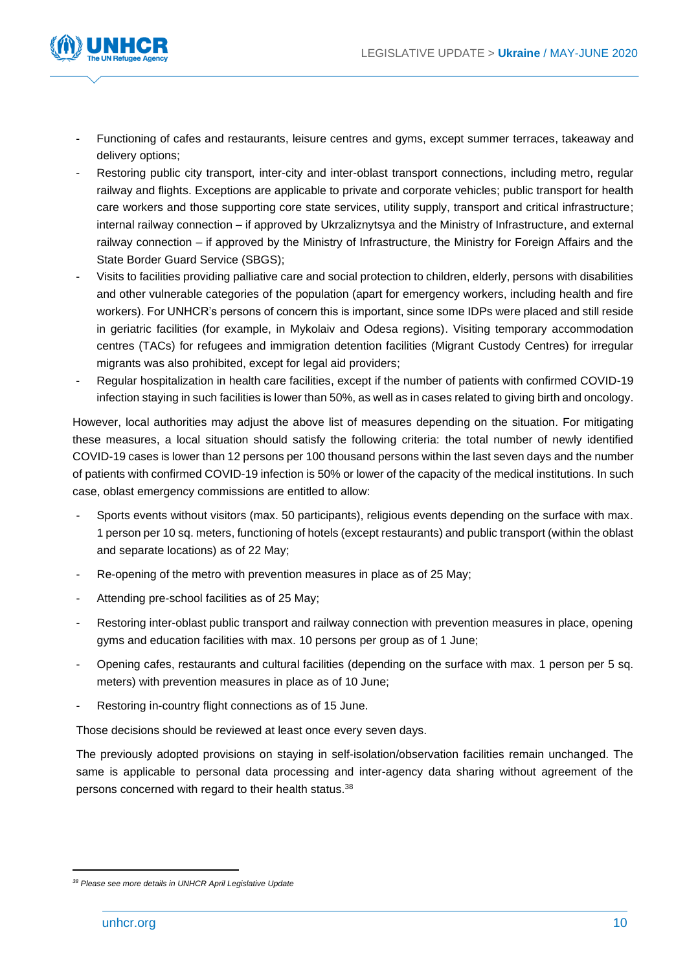

- Functioning of cafes and restaurants, leisure centres and gyms, except summer terraces, takeaway and delivery options;
- Restoring public city transport, inter-city and inter-oblast transport connections, including metro, regular railway and flights. Exceptions are applicable to private and corporate vehicles; public transport for health care workers and those supporting core state services, utility supply, transport and critical infrastructure; internal railway connection – if approved by Ukrzaliznytsya and the Ministry of Infrastructure, and external railway connection – if approved by the Ministry of Infrastructure, the Ministry for Foreign Affairs and the State Border Guard Service (SBGS);
- Visits to facilities providing palliative care and social protection to children, elderly, persons with disabilities and other vulnerable categories of the population (apart for emergency workers, including health and fire workers). For UNHCR's persons of concern this is important, since some IDPs were placed and still reside in geriatric facilities (for example, in Mykolaiv and Odesa regions). Visiting temporary accommodation centres (TACs) for refugees and immigration detention facilities (Migrant Custody Centres) for irregular migrants was also prohibited, except for legal aid providers;
- Regular hospitalization in health care facilities, except if the number of patients with confirmed COVID-19 infection staying in such facilities is lower than 50%, as well as in cases related to giving birth and oncology.

However, local authorities may adjust the above list of measures depending on the situation. For mitigating these measures, a local situation should satisfy the following criteria: the total number of newly identified COVID-19 cases is lower than 12 persons per 100 thousand persons within the last seven days and the number of patients with confirmed COVID-19 infection is 50% or lower of the capacity of the medical institutions. In such case, oblast emergency commissions are entitled to allow:

- Sports events without visitors (max. 50 participants), religious events depending on the surface with max. 1 person per 10 sq. meters, functioning of hotels (except restaurants) and public transport (within the oblast and separate locations) as of 22 May;
- Re-opening of the metro with prevention measures in place as of 25 May;
- Attending pre-school facilities as of 25 May;
- Restoring inter-oblast public transport and railway connection with prevention measures in place, opening gyms and education facilities with max. 10 persons per group as of 1 June;
- Opening cafes, restaurants and cultural facilities (depending on the surface with max. 1 person per 5 sq. meters) with prevention measures in place as of 10 June;
- Restoring in-country flight connections as of 15 June.

Those decisions should be reviewed at least once every seven days.

The previously adopted provisions on staying in self-isolation/observation facilities remain unchanged. The same is applicable to personal data processing and inter-agency data sharing without agreement of the persons concerned with regard to their health status.<sup>38</sup>

*<sup>38</sup> Please see more details in UNHCR April Legislative Update*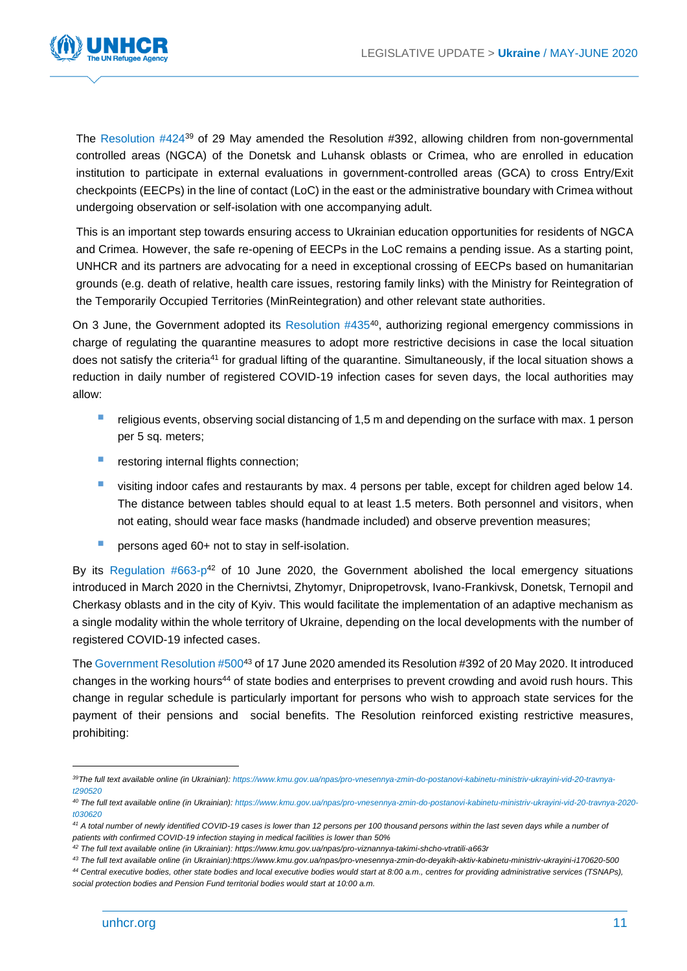

The Resolution #424<sup>39</sup> of 29 May amended the Resolution #392, allowing children from non-governmental controlled areas (NGCA) of the Donetsk and Luhansk oblasts or Crimea, who are enrolled in education institution to participate in external evaluations in government-controlled areas (GCA) to cross Entry/Exit checkpoints (EECPs) in the line of contact (LoC) in the east or the administrative boundary with Crimea without undergoing observation or self-isolation with one accompanying adult.

This is an important step towards ensuring access to Ukrainian education opportunities for residents of NGCA and Crimea. However, the safe re-opening of EECPs in the LoC remains a pending issue. As a starting point, UNHCR and its partners are advocating for a need in exceptional crossing of EECPs based on humanitarian grounds (e.g. death of relative, health care issues, restoring family links) with the Ministry for Reintegration of the Temporarily Occupied Territories (MinReintegration) and other relevant state authorities.

On 3 June, the Government adopted its Resolution #435<sup>40</sup>, authorizing regional emergency commissions in charge of regulating the quarantine measures to adopt more restrictive decisions in case the local situation does not satisfy the criteria<sup>41</sup> for gradual lifting of the quarantine. Simultaneously, if the local situation shows a reduction in daily number of registered COVID-19 infection cases for seven days, the local authorities may allow:

- religious events, observing social distancing of 1,5 m and depending on the surface with max. 1 person per 5 sq. meters;
- restoring internal flights connection;
- visiting indoor cafes and restaurants by max. 4 persons per table, except for children aged below 14. The distance between tables should equal to at least 1.5 meters. Both personnel and visitors, when not eating, should wear face masks (handmade included) and observe prevention measures;
- persons aged 60+ not to stay in self-isolation.

By its Regulation  $#663-p^{42}$  of 10 June 2020, the Government abolished the local emergency situations introduced in March 2020 in the Chernivtsi, Zhytomyr, Dnipropetrovsk, Ivano-Frankivsk, Donetsk, Ternopil and Cherkasy oblasts and in the city of Kyiv. This would facilitate the implementation of an adaptive mechanism as a single modality within the whole territory of Ukraine, depending on the local developments with the number of registered COVID-19 infected cases.

The Government Resolution #500<sup>43</sup> of 17 June 2020 amended its Resolution #392 of 20 May 2020. It introduced changes in the working hours<sup>44</sup> of state bodies and enterprises to prevent crowding and avoid rush hours. This change in regular schedule is particularly important for persons who wish to approach state services for the payment of their pensions and social benefits. The Resolution reinforced existing restrictive measures, prohibiting:

*<sup>39</sup>The full text available online (in Ukrainian): [https://www.kmu.gov.ua/npas/pro-vnesennya-zmin-do-postanovi-kabinetu-ministriv-ukrayini-vid-20-travnya](https://www.kmu.gov.ua/npas/pro-vnesennya-zmin-do-postanovi-kabinetu-ministriv-ukrayini-vid-20-travnya-t290520)[t290520](https://www.kmu.gov.ua/npas/pro-vnesennya-zmin-do-postanovi-kabinetu-ministriv-ukrayini-vid-20-travnya-t290520)*

*<sup>40</sup> The full text available online (in Ukrainian): [https://www.kmu.gov.ua/npas/pro-vnesennya-zmin-do-postanovi-kabinetu-ministriv-ukrayini-vid-20-travnya-2020](https://www.kmu.gov.ua/npas/pro-vnesennya-zmin-do-postanovi-kabinetu-ministriv-ukrayini-vid-20-travnya-2020-t030620) [t030620](https://www.kmu.gov.ua/npas/pro-vnesennya-zmin-do-postanovi-kabinetu-ministriv-ukrayini-vid-20-travnya-2020-t030620)*

<sup>&</sup>lt;sup>41</sup> A total number of newly identified COVID-19 cases is lower than 12 persons per 100 thousand persons within the last seven days while a number of *patients with confirmed COVID-19 infection staying in medical facilities is lower than 50%*

*<sup>42</sup> The full text available online (in Ukrainian): https://www.kmu.gov.ua/npas/pro-viznannya-takimi-shcho-vtratili-a663r*

*<sup>43</sup> The full text available online (in Ukrainian):https://www.kmu.gov.ua/npas/pro-vnesennya-zmin-do-deyakih-aktiv-kabinetu-ministriv-ukrayini-i170620-500 <sup>44</sup> Central executive bodies, other state bodies and local executive bodies would start at 8:00 a.m., centres for providing administrative services (TSNAPs), social protection bodies and Pension Fund territorial bodies would start at 10:00 a.m.*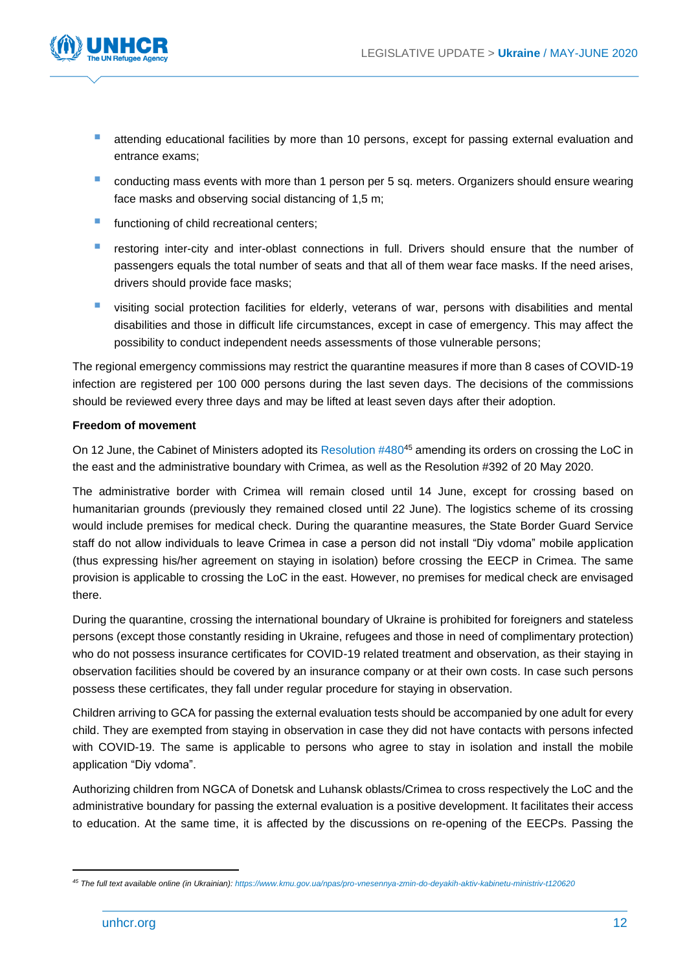

- attending educational facilities by more than 10 persons, except for passing external evaluation and entrance exams;
- conducting mass events with more than 1 person per 5 sq. meters. Organizers should ensure wearing face masks and observing social distancing of 1,5 m;
- **E** functioning of child recreational centers;
- restoring inter-city and inter-oblast connections in full. Drivers should ensure that the number of passengers equals the total number of seats and that all of them wear face masks. If the need arises, drivers should provide face masks;
- visiting social protection facilities for elderly, veterans of war, persons with disabilities and mental disabilities and those in difficult life circumstances, except in case of emergency. This may affect the possibility to conduct independent needs assessments of those vulnerable persons;

The regional emergency commissions may restrict the quarantine measures if more than 8 cases of COVID-19 infection are registered per 100 000 persons during the last seven days. The decisions of the commissions should be reviewed every three days and may be lifted at least seven days after their adoption.

#### **Freedom of movement**

On 12 June, the Cabinet of Ministers adopted its Resolution #480<sup>45</sup> amending its orders on crossing the LoC in the east and the administrative boundary with Crimea, as well as the Resolution #392 of 20 May 2020.

The administrative border with Crimea will remain closed until 14 June, except for crossing based on humanitarian grounds (previously they remained closed until 22 June). The logistics scheme of its crossing would include premises for medical check. During the quarantine measures, the State Border Guard Service staff do not allow individuals to leave Crimea in case a person did not install "Diy vdoma" mobile application (thus expressing his/her agreement on staying in isolation) before crossing the EECP in Crimea. The same provision is applicable to crossing the LoC in the east. However, no premises for medical check are envisaged there.

During the quarantine, crossing the international boundary of Ukraine is prohibited for foreigners and stateless persons (except those constantly residing in Ukraine, refugees and those in need of complimentary protection) who do not possess insurance certificates for COVID-19 related treatment and observation, as their staying in observation facilities should be covered by an insurance company or at their own costs. In case such persons possess these certificates, they fall under regular procedure for staying in observation.

Children arriving to GCA for passing the external evaluation tests should be accompanied by one adult for every child. They are exempted from staying in observation in case they did not have contacts with persons infected with COVID-19. The same is applicable to persons who agree to stay in isolation and install the mobile application "Diy vdoma".

Authorizing children from NGCA of Donetsk and Luhansk oblasts/Crimea to cross respectively the LoC and the administrative boundary for passing the external evaluation is a positive development. It facilitates their access to education. At the same time, it is affected by the discussions on re-opening of the EECPs. Passing the

*<sup>45</sup> The full text available online (in Ukrainian): <https://www.kmu.gov.ua/npas/pro-vnesennya-zmin-do-deyakih-aktiv-kabinetu-ministriv-t120620>*